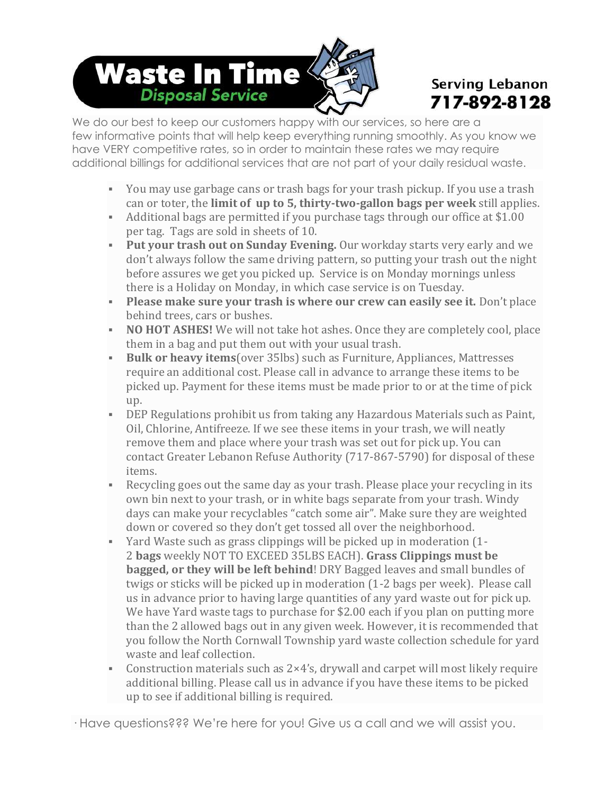# Waste In Time **Disposal Service**

## **Serving Lebanon** 717-892-8128

We do our best to keep our customers happy with our services, so here are a few informative points that will help keep everything running smoothly. As you know we have VERY competitive rates, so in order to maintain these rates we may require additional billings for additional services that are not part of your daily residual waste.

- You may use garbage cans or trash bags for your trash pickup. If you use a trash can or toter, the **limit of up to 5, thirty-two-gallon bags per week** still applies.
- Additional bags are permitted if you purchase tags through our office at \$1.00 per tag. Tags are sold in sheets of 10.
- **Put your trash out on Sunday Evening.** Our workday starts very early and we don't always follow the same driving pattern, so putting your trash out the night before assures we get you picked up. Service is on Monday mornings unless there is a Holiday on Monday, in which case service is on Tuesday.
- **Please make sure your trash is where our crew can easily see it.** Don't place behind trees, cars or bushes.
- **NO HOT ASHES!** We will not take hot ashes. Once they are completely cool, place them in a bag and put them out with your usual trash.
- **Bulk or heavy items**(over 35lbs) such as Furniture, Appliances, Mattresses require an additional cost. Please call in advance to arrange these items to be picked up. Payment for these items must be made prior to or at the time of pick up.
- **DEP Regulations prohibit us from taking any Hazardous Materials such as Paint,** Oil, Chlorine, Antifreeze. If we see these items in your trash, we will neatly remove them and place where your trash was set out for pick up. You can contact Greater Lebanon Refuse Authority (717-867-5790) for disposal of these items.
- Recycling goes out the same day as your trash. Please place your recycling in its own bin next to your trash, or in white bags separate from your trash. Windy days can make your recyclables "catch some air". Make sure they are weighted down or covered so they don't get tossed all over the neighborhood.
- Yard Waste such as grass clippings will be picked up in moderation (1- 2 **bags** weekly NOT TO EXCEED 35LBS EACH). **Grass Clippings must be bagged, or they will be left behind**! DRY Bagged leaves and small bundles of twigs or sticks will be picked up in moderation (1-2 bags per week). Please call us in advance prior to having large quantities of any yard waste out for pick up. We have Yard waste tags to purchase for \$2.00 each if you plan on putting more than the 2 allowed bags out in any given week. However, it is recommended that you follow the North Cornwall Township yard waste collection schedule for yard waste and leaf collection.
- **•** Construction materials such as  $2 \times 4$ 's, drywall and carpet will most likely require additional billing. Please call us in advance if you have these items to be picked up to see if additional billing is required.

· Have questions??? We're here for you! Give us a call and we will assist you.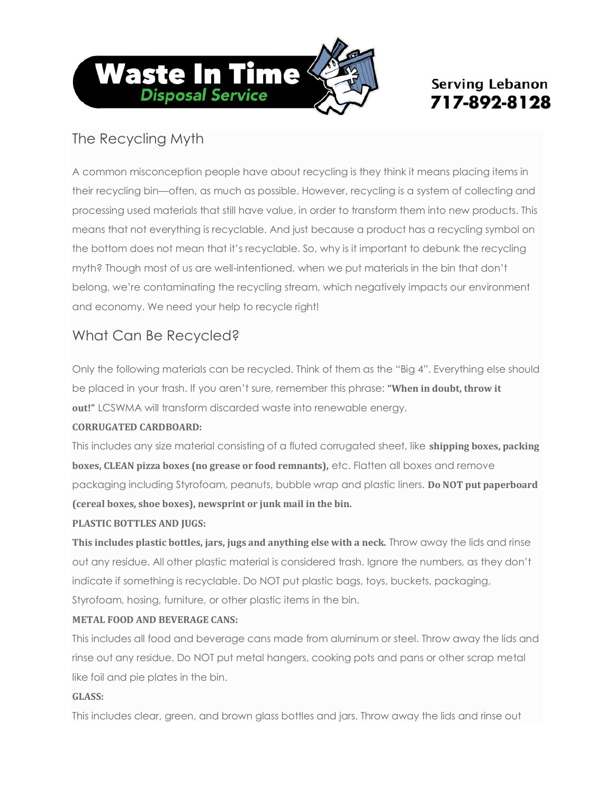

## **Serving Lebanon** 717-892-8128

## The Recycling Myth

A common misconception people have about recycling is they think it means placing items in their recycling bin—often, as much as possible. However, recycling is a system of collecting and processing used materials that still have value, in order to transform them into new products. This means that not everything is recyclable. And just because a product has a recycling symbol on the bottom does not mean that it's recyclable. So, why is it important to debunk the recycling myth? Though most of us are well-intentioned, when we put materials in the bin that don't belong, we're contaminating the recycling stream, which negatively impacts our environment and economy. We need your help to recycle right!

## What Can Be Recycled?

Only the following materials can be recycled. Think of them as the "Big 4". Everything else should be placed in your trash. If you aren't sure, remember this phrase: **"When in doubt, throw it out!"** LCSWMA will transform discarded waste into renewable energy.

#### **CORRUGATED CARDBOARD:**

This includes any size material consisting of a fluted corrugated sheet, like **shipping boxes, packing boxes, CLEAN pizza boxes (no grease or food remnants),** etc. Flatten all boxes and remove packaging including Styrofoam, peanuts, bubble wrap and plastic liners. **Do NOT put paperboard (cereal boxes, shoe boxes), newsprint or junk mail in the bin.**

#### **PLASTIC BOTTLES AND JUGS:**

**This includes plastic bottles, jars, jugs and anything else with a neck.** Throw away the lids and rinse out any residue. All other plastic material is considered trash. Ignore the numbers, as they don't indicate if something is recyclable. Do NOT put plastic bags, toys, buckets, packaging, Styrofoam, hosing, furniture, or other plastic items in the bin.

#### **METAL FOOD AND BEVERAGE CANS:**

This includes all food and beverage cans made from aluminum or steel. Throw away the lids and rinse out any residue. Do NOT put metal hangers, cooking pots and pans or other scrap metal like foil and pie plates in the bin.

#### **GLASS:**

This includes clear, green, and brown glass bottles and jars. Throw away the lids and rinse out